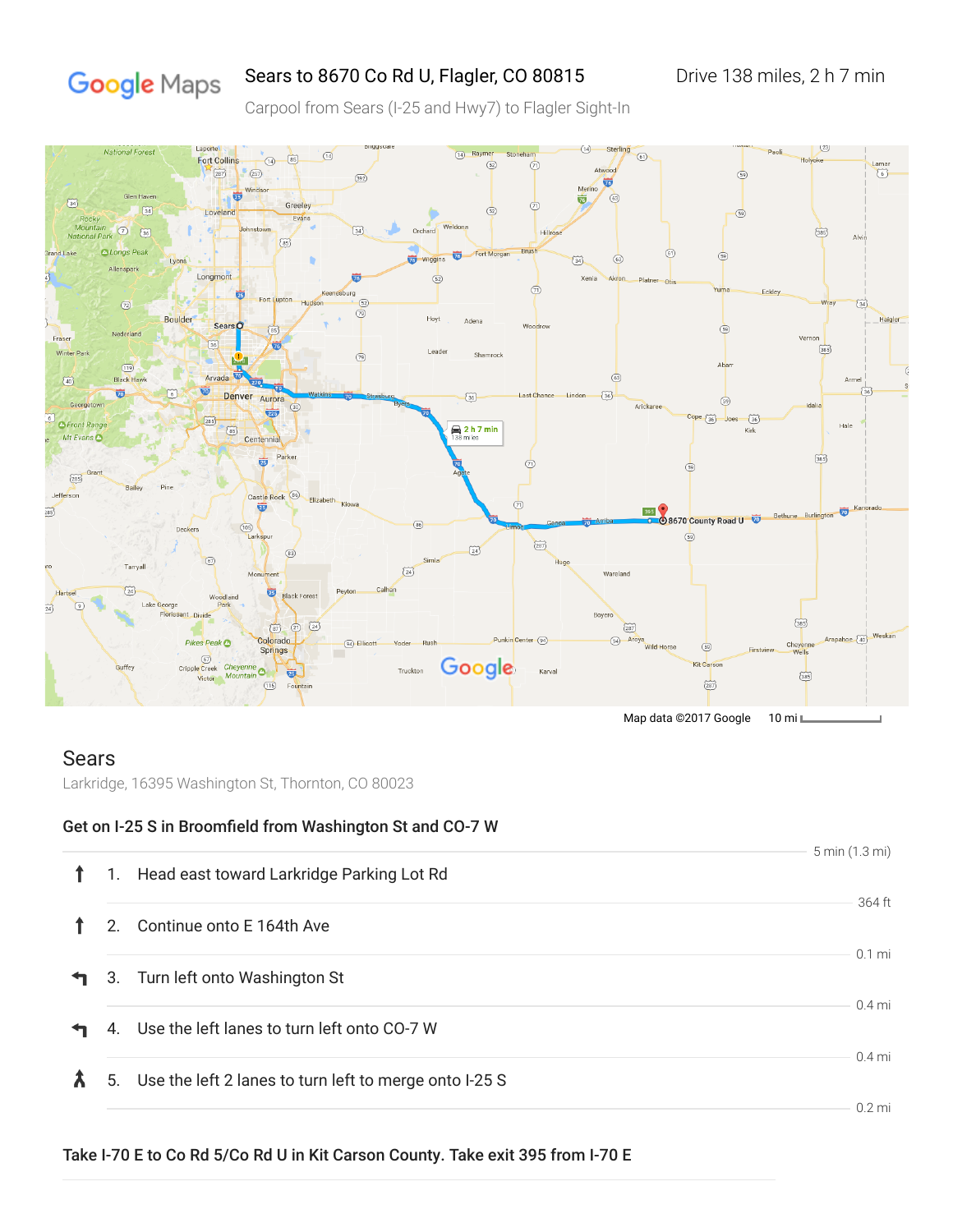# Google Maps

## Sears to 8670 Co Rd U, Flagler, CO 80815 Drive 138 miles, 2 h 7 min

Carpool from Sears (I-25 and Hwy7) to Flagler Sight-In



### Sears

Larkridge, 16395 Washington St, Thornton, CO 80023

#### Get on I-25 S in Broomfield from Washington St and CO-7 W

|    |                                                           | 5 min (1.3 mi) |
|----|-----------------------------------------------------------|----------------|
| 1. | Head east toward Larkridge Parking Lot Rd                 |                |
|    |                                                           | 364 ft         |
| 2. | Continue onto E 164th Ave                                 |                |
|    |                                                           | $0.1$ mi       |
|    | 3. Turn left onto Washington St                           |                |
|    |                                                           | $0.4$ mi       |
|    | 4. Use the left lanes to turn left onto CO-7 W            |                |
|    |                                                           | $0.4$ mi       |
|    | 5. Use the left 2 lanes to turn left to merge onto I-25 S |                |
|    |                                                           | $0.2$ mi       |

#### Take I-70 E to Co Rd 5/Co Rd U in Kit Carson County. Take exit 395 from I-70 E